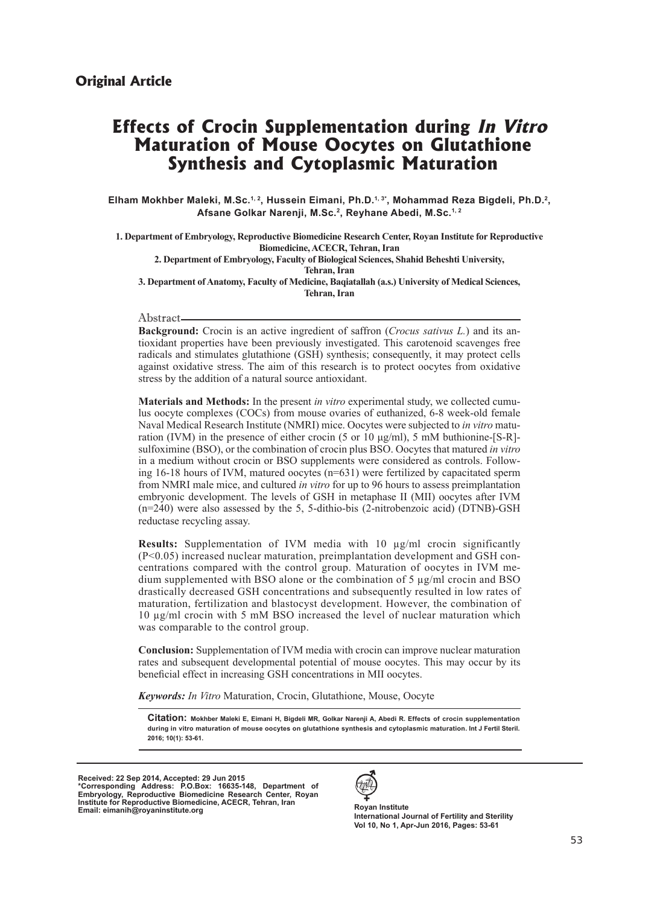# **Effects of Crocin Supplementation during In Vitro Maturation of Mouse Oocytes on Glutathione Synthesis and Cytoplasmic Maturation**

Elham Mokhber Maleki, M.Sc.<sup>1, 2</sup>, Hussein Eimani, Ph.D.<sup>1, 3\*</sup>, Mohammad Reza Bigdeli, Ph.D.<sup>2</sup>, **Afsane Golkar Narenji, M.Sc.2, Reyhane Abedi, M.Sc.1, 2**

**1. Department of Embryology, Reproductive Biomedicine Research Center, Royan Institute for Reproductive Biomedicine, ACECR, Tehran, Iran 2. Department of Embryology, Faculty of Biological Sciences, Shahid Beheshti University, Tehran, Iran 3. Department of Anatomy, Faculty of Medicine, Baqiatallah (a.s.) University of Medical Sciences, Tehran, Iran**

#### Abstract

**Background:** Crocin is an active ingredient of saffron (*Crocus sativus L.*) and its antioxidant properties have been previously investigated. This carotenoid scavenges free radicals and stimulates glutathione (GSH) synthesis; consequently, it may protect cells against oxidative stress. The aim of this research is to protect oocytes from oxidative stress by the addition of a natural source antioxidant.

**Materials and Methods:** In the present *in vitro* experimental study, we collected cumulus oocyte complexes (COCs) from mouse ovaries of euthanized, 6-8 week-old female Naval Medical Research Institute (NMRI) mice. Oocytes were subjected to *in vitro* maturation (IVM) in the presence of either crocin (5 or 10  $\mu$ g/ml), 5 mM buthionine-[S-R]sulfoximine (BSO), or the combination of crocin plus BSO. Oocytes that matured *in vitro*  in a medium without crocin or BSO supplements were considered as controls. Following  $16-18$  hours of IVM, matured oocytes ( $n=631$ ) were fertilized by capacitated sperm from NMRI male mice, and cultured *in vitro* for up to 96 hours to assess preimplantation embryonic development. The levels of GSH in metaphase II (MII) oocytes after IVM (n=240) were also assessed by the 5, 5-dithio-bis (2-nitrobenzoic acid) (DTNB)-GSH reductase recycling assay.

**Results:** Supplementation of IVM media with 10 µg/ml crocin significantly (P<0.05) increased nuclear maturation, preimplantation development and GSH concentrations compared with the control group. Maturation of oocytes in IVM medium supplemented with BSO alone or the combination of 5 µg/ml crocin and BSO drastically decreased GSH concentrations and subsequently resulted in low rates of maturation, fertilization and blastocyst development. However, the combination of 10 µg/ml crocin with 5 mM BSO increased the level of nuclear maturation which was comparable to the control group.

**Conclusion:** Supplementation of IVM media with crocin can improve nuclear maturation rates and subsequent developmental potential of mouse oocytes. This may occur by its beneficial effect in increasing GSH concentrations in MII oocytes.

*Keywords: In Vitro* Maturation, Crocin, Glutathione, Mouse, Oocyte

**Citation: Mokhber Maleki E, Eimani H, Bigdeli MR, Golkar Narenji A, Abedi R. Effects of crocin supplementation during in vitro maturation of mouse oocytes on glutathione synthesis and cytoplasmic maturation. Int J Fertil Steril. 2016; 10(1): 53-61.**

**Received: 22 Sep 2014, Accepted: 29 Jun 2015 \*Corresponding Address: P.O.Box: 16635-148, Department of Embryology, Reproductive Biomedicine Research Center, Royan Institute for Reproductive Biomedicine, ACECR, Tehran, Iran Email: eimanih@royaninstitute.org Royan Institute Email: eimanih@royaninstitute.org Royan Institute** 



**International Journal of Fertility and Sterility Vol 10, No 1, Apr-Jun 2016, Pages: 53-61**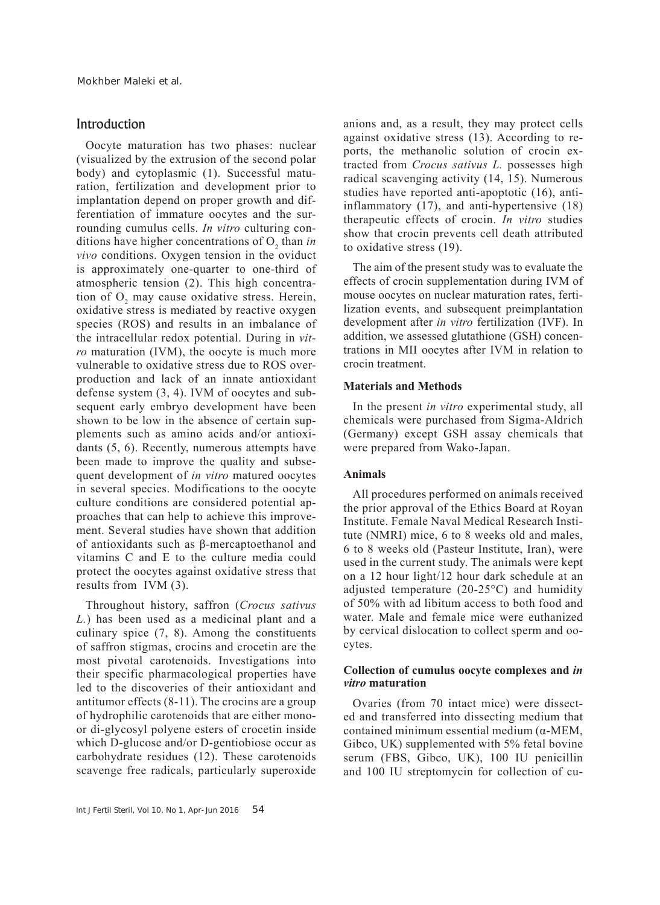# Introduction

Oocyte maturation has two phases: nuclear (visualized by the extrusion of the second polar body) and cytoplasmic (1). Successful maturation, fertilization and development prior to implantation depend on proper growth and differentiation of immature oocytes and the surrounding cumulus cells. *In vitro* culturing conditions have higher concentrations of  $O_2$  than *in vivo* conditions. Oxygen tension in the oviduct is approximately one-quarter to one-third of atmospheric tension (2). This high concentration of  $O_2$  may cause oxidative stress. Herein, oxidative stress is mediated by reactive oxygen species (ROS) and results in an imbalance of the intracellular redox potential. During in *vitro* maturation (IVM), the oocyte is much more vulnerable to oxidative stress due to ROS overproduction and lack of an innate antioxidant defense system (3, 4). IVM of oocytes and subsequent early embryo development have been shown to be low in the absence of certain supplements such as amino acids and/or antioxidants (5, 6). Recently, numerous attempts have been made to improve the quality and subsequent development of *in vitro* matured oocytes in several species. Modifications to the oocyte culture conditions are considered potential approaches that can help to achieve this improvement. Several studies have shown that addition of antioxidants such as β-mercaptoethanol and vitamins C and E to the culture media could protect the oocytes against oxidative stress that results from IVM (3).

Throughout history, saffron (*Crocus sativus L.*) has been used as a medicinal plant and a culinary spice (7, 8). Among the constituents of saffron stigmas, crocins and crocetin are the most pivotal carotenoids. Investigations into their specific pharmacological properties have led to the discoveries of their antioxidant and antitumor effects (8-11). The crocins are a group of hydrophilic carotenoids that are either monoor di-glycosyl polyene esters of crocetin inside which D-glucose and/or D-gentiobiose occur as carbohydrate residues (12). These carotenoids scavenge free radicals, particularly superoxide

anions and, as a result, they may protect cells against oxidative stress (13). According to reports, the methanolic solution of crocin extracted from *Crocus sativus L.* possesses high radical scavenging activity (14, 15). Numerous studies have reported anti-apoptotic (16), antiinflammatory (17), and anti-hypertensive (18) therapeutic effects of crocin. *In vitro* studies show that crocin prevents cell death attributed to oxidative stress (19).

The aim of the present study was to evaluate the effects of crocin supplementation during IVM of mouse oocytes on nuclear maturation rates, fertilization events, and subsequent preimplantation development after *in vitro* fertilization (IVF). In addition, we assessed glutathione (GSH) concentrations in MII oocytes after IVM in relation to crocin treatment.

## **Materials and Methods**

In the present *in vitro* experimental study, all chemicals were purchased from Sigma-Aldrich (Germany) except GSH assay chemicals that were prepared from Wako-Japan.

## **Animals**

All procedures performed on animals received the prior approval of the Ethics Board at Royan Institute. Female Naval Medical Research Institute (NMRI) mice, 6 to 8 weeks old and males, 6 to 8 weeks old (Pasteur Institute, Iran), were used in the current study. The animals were kept on a 12 hour light/12 hour dark schedule at an adjusted temperature (20-25°C) and humidity of 50% with ad libitum access to both food and water. Male and female mice were euthanized by cervical dislocation to collect sperm and oocytes.

# **Collection of cumulus oocyte complexes and** *in vitro* **maturation**

Ovaries (from 70 intact mice) were dissected and transferred into dissecting medium that contained minimum essential medium (α-MEM, Gibco, UK) supplemented with 5% fetal bovine serum (FBS, Gibco, UK), 100 IU penicillin and 100 IU streptomycin for collection of cu-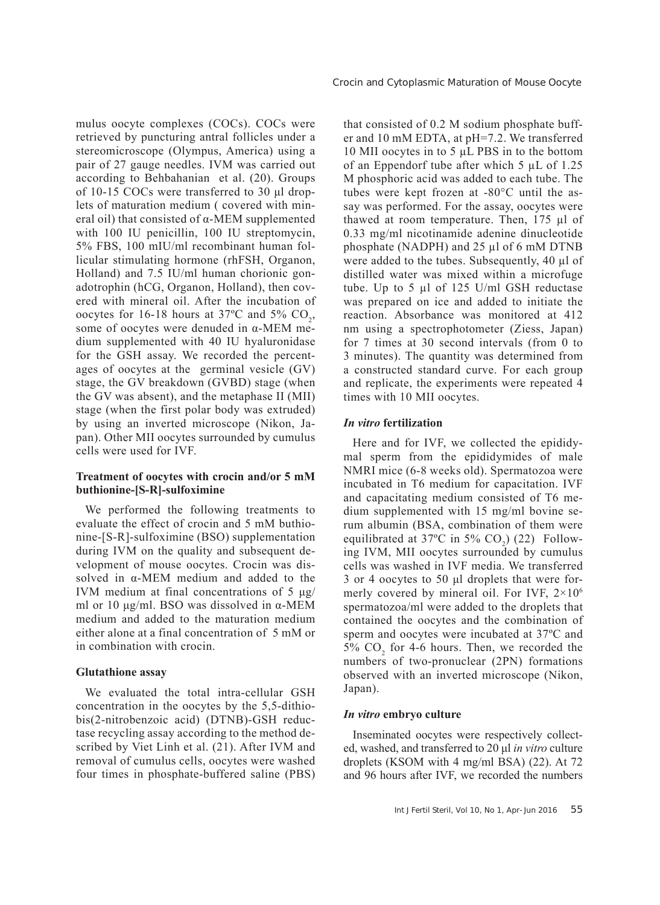mulus oocyte complexes (COCs). COCs were retrieved by puncturing antral follicles under a stereomicroscope (Olympus, America) using a pair of 27 gauge needles. IVM was carried out according to Behbahanian et al. (20). Groups of 10-15 COCs were transferred to 30 μl droplets of maturation medium ( covered with mineral oil) that consisted of α-MEM supplemented with 100 IU penicillin, 100 IU streptomycin, 5% FBS, 100 mIU/ml recombinant human follicular stimulating hormone (rhFSH, Organon, Holland) and 7.5 IU/ml human chorionic gonadotrophin (hCG, Organon, Holland), then covered with mineral oil. After the incubation of oocytes for 16-18 hours at  $37^{\circ}$ C and  $5\%$  CO<sub>2</sub>, some of oocytes were denuded in α-MEM medium supplemented with 40 IU hyaluronidase for the GSH assay. We recorded the percentages of oocytes at the germinal vesicle (GV) stage, the GV breakdown (GVBD) stage (when the GV was absent), and the metaphase II (MII) stage (when the first polar body was extruded) by using an inverted microscope (Nikon, Japan). Other MII oocytes surrounded by cumulus cells were used for IVF.

# **Treatment of oocytes with crocin and/or 5 mM buthionine-[S-R]-sulfoximine**

We performed the following treatments to evaluate the effect of crocin and 5 mM buthionine-[S-R]-sulfoximine (BSO) supplementation during IVM on the quality and subsequent development of mouse oocytes. Crocin was dissolved in α-MEM medium and added to the IVM medium at final concentrations of 5 μg/ ml or 10 μg/ml. BSO was dissolved in α-MEM medium and added to the maturation medium either alone at a final concentration of 5 mM or in combination with crocin.

#### **Glutathione assay**

We evaluated the total intra-cellular GSH concentration in the oocytes by the 5,5-dithiobis(2-nitrobenzoic acid) (DTNB)-GSH reductase recycling assay according to the method described by Viet Linh et al. (21). After IVM and removal of cumulus cells, oocytes were washed four times in phosphate-buffered saline (PBS) that consisted of 0.2 M sodium phosphate buffer and 10 mM EDTA, at pH=7.2. We transferred 10 MII oocytes in to 5 µL PBS in to the bottom of an Eppendorf tube after which 5 µL of 1.25 M phosphoric acid was added to each tube. The tubes were kept frozen at -80°C until the assay was performed. For the assay, oocytes were thawed at room temperature. Then, 175 µl of 0.33 mg/ml nicotinamide adenine dinucleotide phosphate (NADPH) and 25 µl of 6 mM DTNB were added to the tubes. Subsequently, 40 µl of distilled water was mixed within a microfuge tube. Up to 5  $\mu$ l of 125 U/ml GSH reductase was prepared on ice and added to initiate the reaction. Absorbance was monitored at 412 nm using a spectrophotometer (Ziess, Japan) for 7 times at 30 second intervals (from 0 to 3 minutes). The quantity was determined from a constructed standard curve. For each group and replicate, the experiments were repeated 4 times with 10 MII oocytes.

#### *In vitro* **fertilization**

Here and for IVF, we collected the epididymal sperm from the epididymides of male NMRI mice (6-8 weeks old). Spermatozoa were incubated in T6 medium for capacitation. IVF and capacitating medium consisted of T6 medium supplemented with 15 mg/ml bovine serum albumin (BSA, combination of them were equilibrated at 37°C in 5%  $CO<sub>2</sub>$ ) (22) Following IVM, MII oocytes surrounded by cumulus cells was washed in IVF media. We transferred 3 or 4 oocytes to 50 μl droplets that were formerly covered by mineral oil. For IVF,  $2 \times 10^6$ spermatozoa/ml were added to the droplets that contained the oocytes and the combination of sperm and oocytes were incubated at 37ºC and  $5\%$  CO<sub>2</sub> for 4-6 hours. Then, we recorded the numbers of two-pronuclear (2PN) formations observed with an inverted microscope (Nikon, Japan).

#### *In vitro* **embryo culture**

Inseminated oocytes were respectively collected, washed, and transferred to 20 μl *in vitro* culture droplets (KSOM with 4 mg/ml BSA) (22). At 72 and 96 hours after IVF, we recorded the numbers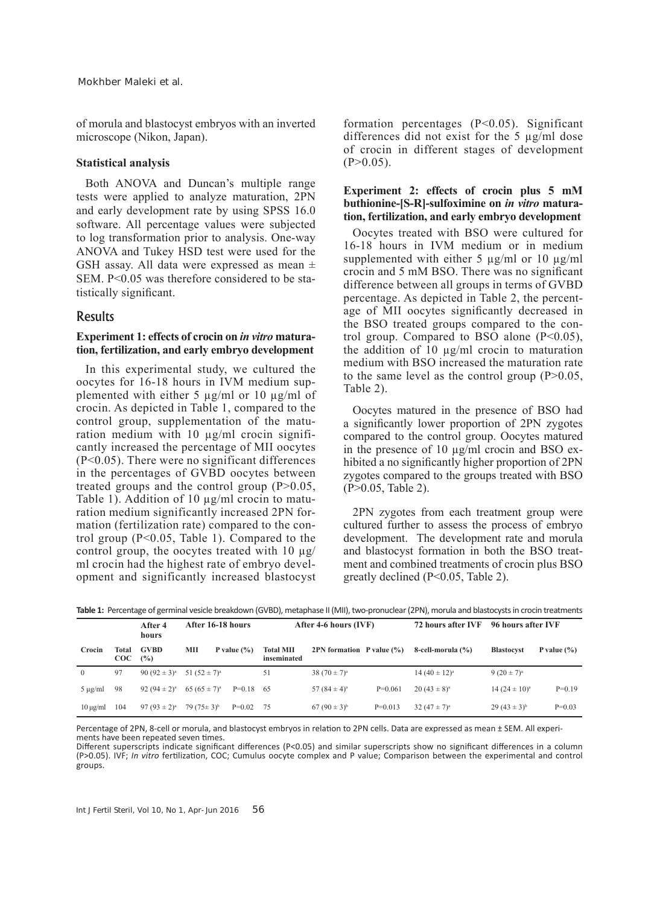of morula and blastocyst embryos with an inverted microscope (Nikon, Japan).

#### **Statistical analysis**

Both ANOVA and Duncan's multiple range tests were applied to analyze maturation, 2PN and early development rate by using SPSS 16.0 software. All percentage values were subjected to log transformation prior to analysis. One-way ANOVA and Tukey HSD test were used for the GSH assay. All data were expressed as mean  $\pm$ SEM. P<0.05 was therefore considered to be statistically significant.

# Results

# **Experiment 1: effects of crocin on** *in vitro* **maturation, fertilization, and early embryo development**

In this experimental study, we cultured the oocytes for 16-18 hours in IVM medium supplemented with either 5  $\mu$ g/ml or 10  $\mu$ g/ml of crocin. As depicted in Table 1, compared to the control group, supplementation of the maturation medium with 10 µg/ml crocin significantly increased the percentage of MII oocytes (P<0.05). There were no significant differences in the percentages of GVBD oocytes between treated groups and the control group  $(P>0.05$ , Table 1). Addition of 10  $\mu$ g/ml crocin to maturation medium significantly increased 2PN formation (fertilization rate) compared to the control group (P<0.05, Table 1). Compared to the control group, the oocytes treated with  $10 \mu g$ / ml crocin had the highest rate of embryo development and significantly increased blastocyst

formation percentages (P<0.05). Significant differences did not exist for the 5 µg/ml dose of crocin in different stages of development  $(P>0.05)$ .

# **Experiment 2: effects of crocin plus 5 mM buthionine-[S-R]-sulfoximine on** *in vitro* **maturation, fertilization, and early embryo development**

Oocytes treated with BSO were cultured for 16-18 hours in IVM medium or in medium supplemented with either 5  $\mu$ g/ml or 10  $\mu$ g/ml crocin and 5 mM BSO. There was no significant difference between all groups in terms of GVBD percentage. As depicted in Table 2, the percentage of MII oocytes significantly decreased in the BSO treated groups compared to the control group. Compared to BSO alone  $(P<0.05)$ , the addition of 10  $\mu$ g/ml crocin to maturation medium with BSO increased the maturation rate to the same level as the control group  $(P>0.05$ , Table 2).

Oocytes matured in the presence of BSO had a significantly lower proportion of 2PN zygotes compared to the control group. Oocytes matured in the presence of 10 µg/ml crocin and BSO exhibited a no significantly higher proportion of 2PN zygotes compared to the groups treated with BSO (P>0.05, Table 2).

2PN zygotes from each treatment group were cultured further to assess the process of embryo development. The development rate and morula and blastocyst formation in both the BSO treatment and combined treatments of crocin plus BSO greatly declined (P<0.05, Table 2).

|               |                     | After 4<br>hours   | After 16-18 hours |                 | After 4-6 hours (IVF)           |                                |           | 72 hours after IVF | 96 hours after IVF |                 |
|---------------|---------------------|--------------------|-------------------|-----------------|---------------------------------|--------------------------------|-----------|--------------------|--------------------|-----------------|
| Crocin        | Total<br>$\rm{COC}$ | <b>GVBD</b><br>(%) | MП                | P value $(\% )$ | <b>Total MII</b><br>inseminated | 2PN formation $P$ value $(\%)$ |           | 8-cell-morula (%)  | <b>Blastocyst</b>  | P value $(\% )$ |
| $\Omega$      | 97                  | 90 $(92 \pm 3)^a$  | 51 $(52 \pm 7)^a$ |                 | 51                              | 38 $(70 \pm 7)^a$              |           | $14(40 \pm 12)^a$  | $9(20 \pm 7)^a$    |                 |
| $5 \mu g/ml$  | 98                  | 92 $(94 \pm 2)^a$  | $65(65 \pm 7)^a$  | $P=0.18$ 65     |                                 | 57 $(84 \pm 4)^a$              | $P=0.061$ | $20(43 \pm 8)^a$   | $14(24 \pm 10)^a$  | $P=0.19$        |
| $10 \mu g/ml$ | 104                 | 97 $(93 \pm 2)^a$  | $79(75 \pm 3)^b$  | $P=0.02$ 75     |                                 | $67(90 \pm 3)^{b}$             | $P=0.013$ | 32 $(47 \pm 7)^a$  | $29(43 \pm 3)^{b}$ | $P=0.03$        |

**Table 1:** Percentage of germinal vesicle breakdown (GVBD), metaphase II (MII), two-pronuclear (2PN), morula and blastocysts in crocin treatments

Percentage of 2PN, 8-cell or morula, and blastocyst embryos in relation to 2PN cells. Data are expressed as mean ± SEM. All experiments have been repeated seven times.

Different superscripts indicate significant differences (P<0.05) and similar superscripts show no significant differences in a column (P>0.05). IVF; *In vitro* fertilization, COC; Cumulus oocyte complex and P value; Comparison between the experimental and control groups.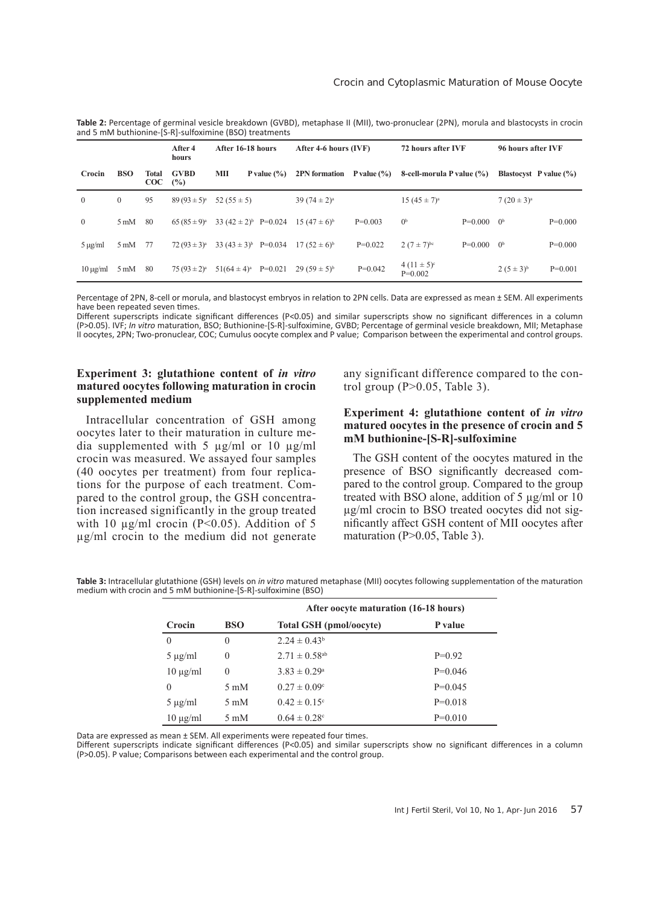|                |                |                   | After 4<br>hours   | After 16-18 hours             |                             | After 4-6 hours (IVF) |                              | 72 hours after IVF |                                   | 96 hours after IVF |  |
|----------------|----------------|-------------------|--------------------|-------------------------------|-----------------------------|-----------------------|------------------------------|--------------------|-----------------------------------|--------------------|--|
| Crocin         | <b>BSO</b>     | Total<br>$\rm{C}$ | <b>GVBD</b><br>(%) | MП<br>P value $(\% )$         | 2PN formation $P value (%)$ |                       | 8-cell-morula P value (%)    |                    | <b>Blastocyst</b> P value $(\% )$ |                    |  |
| $\overline{0}$ | $\mathbf{0}$   | 95                | $89(93 \pm 5)^a$   | 52 $(55 \pm 5)$               | 39 $(74 \pm 2)^a$           |                       | $15(45 \pm 7)^a$             |                    | $7(20 \pm 3)^a$                   |                    |  |
| $\mathbf{0}$   | $5 \text{ mM}$ | 80                | $65(85\pm9)^a$     | 33 $(42 \pm 2)^b$ P=0.024     | $15(47 \pm 6)^{6}$          | $P=0.003$             | 0 <sup>b</sup>               | $P=0.000$ $0b$     |                                   | $P=0.000$          |  |
| $5 \mu g/ml$   | $5 \text{ mM}$ | - 77              | $72(93 \pm 3)^a$   | 33 $(43 \pm 3)^b$ P=0.034     | $17(52 \pm 6)^{6}$          | $P=0.022$             | $2(7 \pm 7)^{bc}$            | $P=0.000$ $0^b$    |                                   | $P=0.000$          |  |
| $10 \mu g/ml$  | $5 \text{ mM}$ | -80               | $75(93 \pm 2)^a$   | $51(64 \pm 4)^a$<br>$P=0.021$ | $29(59 \pm 5)^{b}$          | $P=0.042$             | $4(11 \pm 5)^c$<br>$P=0.002$ |                    | $2(5 \pm 3)^{b}$                  | $P=0.001$          |  |

**Table 2:** Percentage of germinal vesicle breakdown (GVBD), metaphase II (MII), two-pronuclear (2PN), morula and blastocysts in crocin and 5 mM buthionine-[S-R]-sulfoximine (BSO) treatments

Percentage of 2PN, 8-cell or morula, and blastocyst embryos in relation to 2PN cells. Data are expressed as mean ± SEM. All experiments have been repeated seven times.

Different superscripts indicate significant differences (P<0.05) and similar superscripts show no significant differences in a column (P>0.05). IVF; *In vitro* maturation, BSO; Buthionine-[S-R]-sulfoximine, GVBD; Percentage of germinal vesicle breakdown, MII; Metaphase II oocytes, 2PN; Two-pronuclear, COC; Cumulus oocyte complex and P value; Comparison between the experimental and control groups.

# **Experiment 3: glutathione content of** *in vitro*  **matured oocytes following maturation in crocin supplemented medium**

Intracellular concentration of GSH among oocytes later to their maturation in culture media supplemented with 5  $\mu$ g/ml or 10  $\mu$ g/ml crocin was measured. We assayed four samples (40 oocytes per treatment) from four replications for the purpose of each treatment. Compared to the control group, the GSH concentration increased significantly in the group treated with 10  $\mu$ g/ml crocin (P<0.05). Addition of 5 µg/ml crocin to the medium did not generate

any significant difference compared to the control group  $(P>0.05$ , Table 3).

# **Experiment 4: glutathione content of** *in vitro*  **matured oocytes in the presence of crocin and 5 mM buthionine-[S-R]-sulfoximine**

The GSH content of the oocytes matured in the presence of BSO significantly decreased compared to the control group. Compared to the group treated with BSO alone, addition of 5 µg/ml or 10 µg/ml crocin to BSO treated oocytes did not significantly affect GSH content of MII oocytes after maturation (P>0.05, Table 3).

**Table 3:** Intracellular glutathione (GSH) levels on *in vitro* matured metaphase (MII) oocytes following supplementation of the maturation medium with crocin and 5 mM buthionine-[S-R]-sulfoximine (BSO)

|               |                | After oocyte maturation (16-18 hours) |           |  |
|---------------|----------------|---------------------------------------|-----------|--|
| Crocin        | <b>BSO</b>     | <b>Total GSH</b> (pmol/oocyte)        | P value   |  |
| $\theta$      | $\Omega$       | $2.24 \pm 0.43^b$                     |           |  |
| $5 \mu g/ml$  | $\overline{0}$ | $2.71 \pm 0.58$ <sup>ab</sup>         | $P=0.92$  |  |
| $10 \mu g/ml$ | $\theta$       | $3.83 \pm 0.29^{\circ}$               | $P=0.046$ |  |
| 0             | $5 \text{ mM}$ | $0.27 \pm 0.09^{\circ}$               | $P=0.045$ |  |
| $5 \mu g/ml$  | $5 \text{ mM}$ | $0.42 \pm 0.15$ °                     | $P=0.018$ |  |
| $10 \mu g/ml$ | $5 \text{ mM}$ | $0.64 \pm 0.28$ °                     | $P=0.010$ |  |

Data are expressed as mean ± SEM. All experiments were repeated four times.

Different superscripts indicate significant differences (P<0.05) and similar superscripts show no significant differences in a column (P>0.05). P value; Comparisons between each experimental and the control group.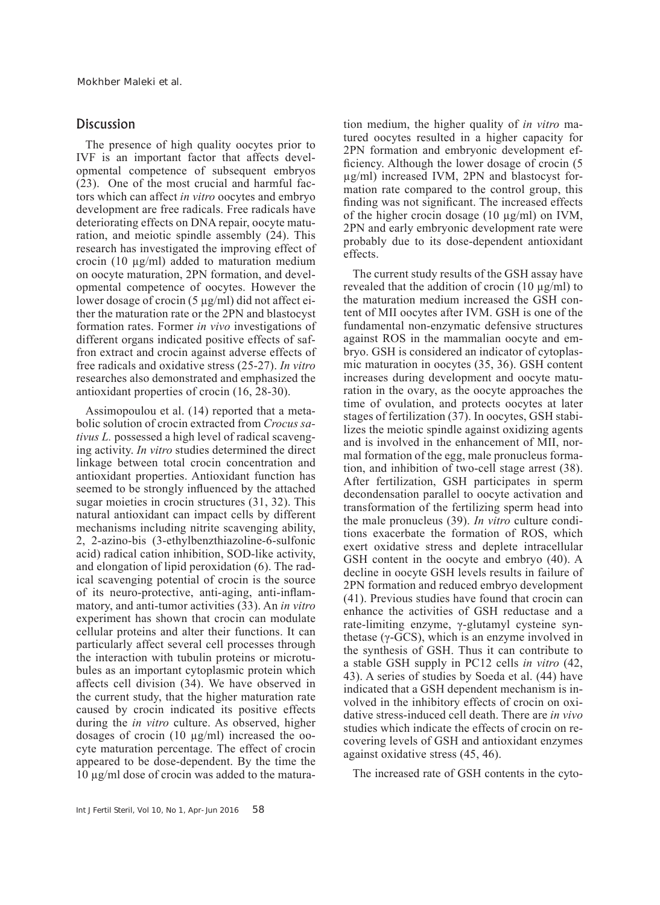# **Discussion**

The presence of high quality oocytes prior to IVF is an important factor that affects developmental competence of subsequent embryos (23). One of the most crucial and harmful factors which can affect *in vitro* oocytes and embryo development are free radicals. Free radicals have deteriorating effects on DNA repair, oocyte maturation, and meiotic spindle assembly (24). This research has investigated the improving effect of crocin (10 µg/ml) added to maturation medium on oocyte maturation, 2PN formation, and developmental competence of oocytes. However the lower dosage of crocin (5 µg/ml) did not affect either the maturation rate or the 2PN and blastocyst formation rates. Former *in vivo* investigations of different organs indicated positive effects of saffron extract and crocin against adverse effects of free radicals and oxidative stress (25-27). *In vitro*  researches also demonstrated and emphasized the antioxidant properties of crocin (16, 28-30).

Assimopoulou et al. (14) reported that a metabolic solution of crocin extracted from *Crocus sativus L.* possessed a high level of radical scavenging activity. *In vitro* studies determined the direct linkage between total crocin concentration and antioxidant properties. Antioxidant function has seemed to be strongly influenced by the attached sugar moieties in crocin structures (31, 32). This natural antioxidant can impact cells by different mechanisms including nitrite scavenging ability, 2, 2-azino-bis (3-ethylbenzthiazoline-6-sulfonic acid) radical cation inhibition, SOD-like activity, and elongation of lipid peroxidation (6). The radical scavenging potential of crocin is the source of its neuro-protective, anti-aging, anti-inflammatory, and anti-tumor activities (33). An *in vitro* experiment has shown that crocin can modulate cellular proteins and alter their functions. It can particularly affect several cell processes through the interaction with tubulin proteins or microtubules as an important cytoplasmic protein which affects cell division (34). We have observed in the current study, that the higher maturation rate caused by crocin indicated its positive effects during the *in vitro* culture. As observed, higher dosages of crocin (10 µg/ml) increased the oocyte maturation percentage. The effect of crocin appeared to be dose-dependent. By the time the 10 µg/ml dose of crocin was added to the maturation medium, the higher quality of *in vitro* matured oocytes resulted in a higher capacity for 2PN formation and embryonic development efficiency. Although the lower dosage of crocin (5 µg/ml) increased IVM, 2PN and blastocyst formation rate compared to the control group, this finding was not significant. The increased effects of the higher crocin dosage (10 µg/ml) on IVM, 2PN and early embryonic development rate were probably due to its dose-dependent antioxidant effects.

The current study results of the GSH assay have revealed that the addition of crocin  $(10 \mu g/ml)$  to the maturation medium increased the GSH content of MII oocytes after IVM. GSH is one of the fundamental non-enzymatic defensive structures against ROS in the mammalian oocyte and embryo. GSH is considered an indicator of cytoplasmic maturation in oocytes (35, 36). GSH content increases during development and oocyte maturation in the ovary, as the oocyte approaches the time of ovulation, and protects oocytes at later stages of fertilization (37). In oocytes, GSH stabilizes the meiotic spindle against oxidizing agents and is involved in the enhancement of MII, normal formation of the egg, male pronucleus formation, and inhibition of two-cell stage arrest (38). After fertilization, GSH participates in sperm decondensation parallel to oocyte activation and transformation of the fertilizing sperm head into the male pronucleus (39). *In vitro* culture conditions exacerbate the formation of ROS, which exert oxidative stress and deplete intracellular GSH content in the oocyte and embryo (40). A decline in oocyte GSH levels results in failure of 2PN formation and reduced embryo development (41). Previous studies have found that crocin can enhance the activities of GSH reductase and a rate-limiting enzyme, γ-glutamyl cysteine synthetase (γ-GCS), which is an enzyme involved in the synthesis of GSH. Thus it can contribute to a stable GSH supply in PC12 cells *in vitro* (42, 43). A series of studies by Soeda et al. (44) have indicated that a GSH dependent mechanism is involved in the inhibitory effects of crocin on oxidative stress-induced cell death. There are *in vivo*  studies which indicate the effects of crocin on recovering levels of GSH and antioxidant enzymes against oxidative stress (45, 46).

The increased rate of GSH contents in the cyto-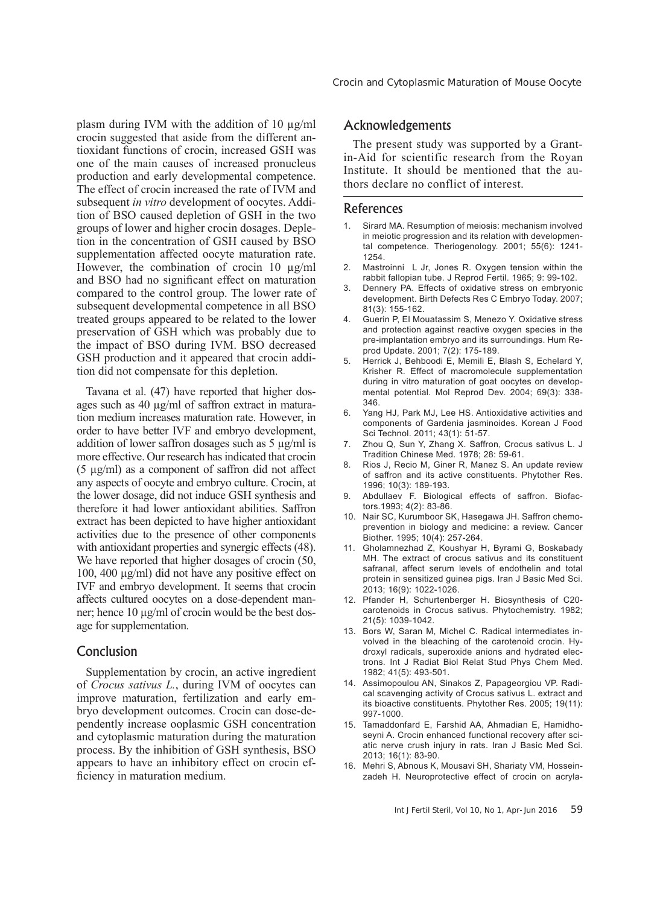plasm during IVM with the addition of 10  $\mu$ g/ml crocin suggested that aside from the different antioxidant functions of crocin, increased GSH was one of the main causes of increased pronucleus production and early developmental competence. The effect of crocin increased the rate of IVM and subsequent *in vitro* development of oocytes. Addition of BSO caused depletion of GSH in the two groups of lower and higher crocin dosages. Depletion in the concentration of GSH caused by BSO supplementation affected oocyte maturation rate. However, the combination of crocin 10  $\mu$ g/ml and BSO had no significant effect on maturation compared to the control group. The lower rate of subsequent developmental competence in all BSO treated groups appeared to be related to the lower preservation of GSH which was probably due to the impact of BSO during IVM. BSO decreased GSH production and it appeared that crocin addition did not compensate for this depletion.

Tavana et al. (47) have reported that higher dosages such as 40 µg/ml of saffron extract in maturation medium increases maturation rate. However, in order to have better IVF and embryo development, addition of lower saffron dosages such as 5 µg/ml is more effective. Our research has indicated that crocin (5 µg/ml) as a component of saffron did not affect any aspects of oocyte and embryo culture. Crocin, at the lower dosage, did not induce GSH synthesis and therefore it had lower antioxidant abilities. Saffron extract has been depicted to have higher antioxidant activities due to the presence of other components with antioxidant properties and synergic effects (48). We have reported that higher dosages of crocin  $(50, 100)$ 100, 400 µg/ml) did not have any positive effect on IVF and embryo development. It seems that crocin affects cultured oocytes on a dose-dependent manner; hence 10 µg/ml of crocin would be the best dosage for supplementation.

# Conclusion

Supplementation by crocin, an active ingredient of *Crocus sativus L.*, during IVM of oocytes can improve maturation, fertilization and early embryo development outcomes. Crocin can dose-dependently increase ooplasmic GSH concentration and cytoplasmic maturation during the maturation process. By the inhibition of GSH synthesis, BSO appears to have an inhibitory effect on crocin efficiency in maturation medium.

Crocin and Cytoplasmic Maturation of Mouse Oocyte

# Acknowledgements

The present study was supported by a Grantin-Aid for scientific research from the Royan Institute. It should be mentioned that the authors declare no conflict of interest.

# References

- 1. Sirard MA. Resumption of meiosis: mechanism involved in meiotic progression and its relation with developmental competence. Theriogenology. 2001; 55(6): 1241- 1254.
- 2. Mastroinni L Jr, Jones R. Oxygen tension within the rabbit fallopian tube. J Reprod Fertil. 1965; 9: 99-102.
- 3. Dennery PA. Effects of oxidative stress on embryonic development. Birth Defects Res C Embryo Today. 2007; 81(3): 155-162.
- 4. Guerin P, El Mouatassim S, Menezo Y. Oxidative stress and protection against reactive oxygen species in the pre-implantation embryo and its surroundings. Hum Reprod Update. 2001; 7(2): 175-189.
- 5. Herrick J, Behboodi E, Memili E, Blash S, Echelard Y, Krisher R. Effect of macromolecule supplementation during in vitro maturation of goat oocytes on developmental potential. Mol Reprod Dev. 2004; 69(3): 338- 346.
- 6. Yang HJ, Park MJ, Lee HS. Antioxidative activities and components of Gardenia jasminoides. Korean J Food Sci Technol. 2011; 43(1): 51-57.
- 7. Zhou Q, Sun Y, Zhang X. Saffron, Crocus sativus L. J Tradition Chinese Med. 1978; 28: 59-61.
- 8. Rios J, Recio M, Giner R, Manez S. An update review of saffron and its active constituents. Phytother Res. 1996; 10(3): 189-193.
- 9. Abdullaev F. Biological effects of saffron. Biofactors.1993; 4(2): 83-86.
- 10. Nair SC, Kurumboor SK, Hasegawa JH. Saffron chemoprevention in biology and medicine: a review. Cancer Biother. 1995; 10(4): 257-264.
- 11. Gholamnezhad Z, Koushyar H, Byrami G, Boskabady MH. The extract of crocus sativus and its constituent safranal, affect serum levels of endothelin and total protein in sensitized guinea pigs. Iran J Basic Med Sci. 2013; 16(9): 1022-1026.
- 12. Pfander H, Schurtenberger H. Biosynthesis of C20 carotenoids in Crocus sativus. Phytochemistry. 1982; 21(5): 1039-1042.
- 13. Bors W, Saran M, Michel C. Radical intermediates involved in the bleaching of the carotenoid crocin. Hydroxyl radicals, superoxide anions and hydrated electrons. Int J Radiat Biol Relat Stud Phys Chem Med. 1982; 41(5): 493-501.
- 14. Assimopoulou AN, Sinakos Z, Papageorgiou VP. Radical scavenging activity of Crocus sativus L. extract and its bioactive constituents. Phytother Res. 2005; 19(11): 997-1000.
- 15. Tamaddonfard E, Farshid AA, Ahmadian E, Hamidhoseyni A. Crocin enhanced functional recovery after sciatic nerve crush injury in rats. Iran J Basic Med Sci. 2013; 16(1): 83-90.
- 16. Mehri S, Abnous K, Mousavi SH, Shariaty VM, Hosseinzadeh H. Neuroprotective effect of crocin on acryla-

Int J Fertil Steril, Vol 10, No 1, Apr-Jun 2016 59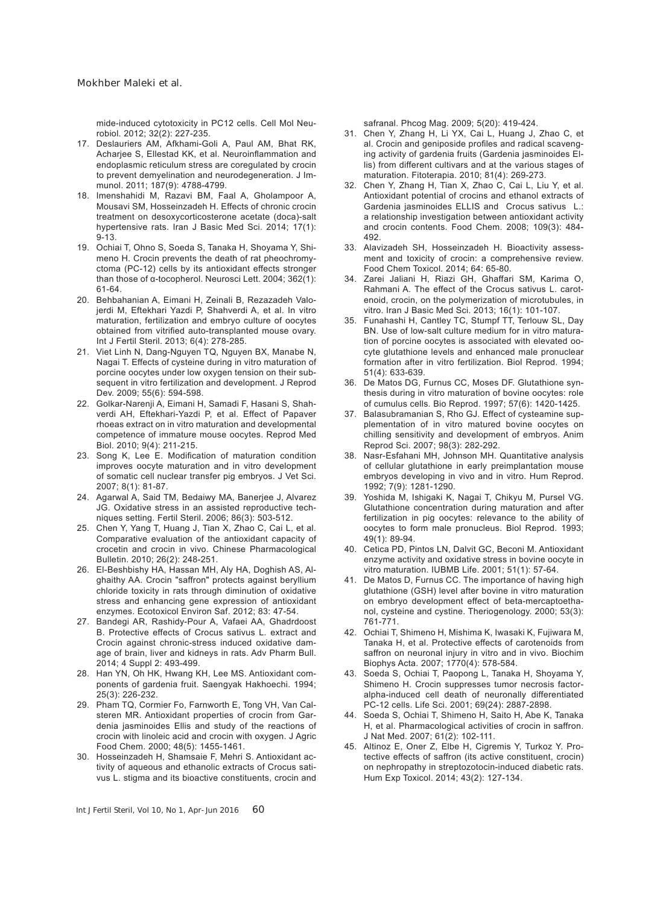mide-induced cytotoxicity in PC12 cells. Cell Mol Neurobiol. 2012; 32(2): 227-235.

- 17. Deslauriers AM, Afkhami-Goli A, Paul AM, Bhat RK, Acharjee S, Ellestad KK, et al. Neuroinflammation and endoplasmic reticulum stress are coregulated by crocin to prevent demyelination and neurodegeneration. J Immunol. 2011; 187(9): 4788-4799.
- 18. Imenshahidi M, Razavi BM, Faal A, Gholampoor A, Mousavi SM, Hosseinzadeh H. Effects of chronic crocin treatment on desoxycorticosterone acetate (doca)-salt hypertensive rats. Iran J Basic Med Sci. 2014; 17(1): 9-13.
- 19. Ochiai T, Ohno S, Soeda S, Tanaka H, Shoyama Y, Shimeno H. Crocin prevents the death of rat pheochromyctoma (PC-12) cells by its antioxidant effects stronger than those of α-tocopherol. Neurosci Lett. 2004; 362(1): 61-64.
- 20. Behbahanian A, Eimani H, Zeinali B, Rezazadeh Valojerdi M, Eftekhari Yazdi P, Shahverdi A, et al. In vitro maturation, fertilization and embryo culture of oocytes obtained from vitrified auto-transplanted mouse ovary. Int J Fertil Steril. 2013; 6(4): 278-285.
- 21. Viet Linh N, Dang-Nguyen TQ, Nguyen BX, Manabe N, Nagai T. Effects of cysteine during in vitro maturation of porcine oocytes under low oxygen tension on their subsequent in vitro fertilization and development. J Reprod Dev. 2009; 55(6): 594-598.
- 22. Golkar-Narenji A, Eimani H, Samadi F, Hasani S, Shahverdi AH, Eftekhari-Yazdi P, et al. Effect of Papaver rhoeas extract on in vitro maturation and developmental competence of immature mouse oocytes. Reprod Med Biol. 2010; 9(4): 211-215.
- 23. Song K, Lee E. Modification of maturation condition improves oocyte maturation and in vitro development of somatic cell nuclear transfer pig embryos. J Vet Sci. 2007; 8(1): 81-87.
- 24. Agarwal A, Said TM, Bedaiwy MA, Banerjee J, Alvarez JG. Oxidative stress in an assisted reproductive techniques setting. Fertil Steril. 2006; 86(3): 503-512.
- 25. Chen Y, Yang T, Huang J, Tian X, Zhao C, Cai L, et al. Comparative evaluation of the antioxidant capacity of crocetin and crocin in vivo. Chinese Pharmacological Bulletin. 2010; 26(2): 248-251.
- 26. El-Beshbishy HA, Hassan MH, Aly HA, Doghish AS, Alghaithy AA. Crocin "saffron" protects against beryllium chloride toxicity in rats through diminution of oxidative stress and enhancing gene expression of antioxidant enzymes. Ecotoxicol Environ Saf. 2012; 83: 47-54.
- 27. Bandegi AR, Rashidy-Pour A, Vafaei AA, Ghadrdoost B. Protective effects of Crocus sativus L. extract and Crocin against chronic-stress induced oxidative damage of brain, liver and kidneys in rats. Adv Pharm Bull. 2014; 4 Suppl 2: 493-499.
- 28. Han YN, Oh HK, Hwang KH, Lee MS. Antioxidant components of gardenia fruit. Saengyak Hakhoechi. 1994; 25(3): 226-232.
- 29. Pham TQ, Cormier Fo, Farnworth E, Tong VH, Van Calsteren MR. Antioxidant properties of crocin from Gardenia jasminoides Ellis and study of the reactions of crocin with linoleic acid and crocin with oxygen. J Agric Food Chem. 2000; 48(5): 1455-1461.
- 30. Hosseinzadeh H, Shamsaie F, Mehri S. Antioxidant activity of aqueous and ethanolic extracts of Crocus sativus L. stigma and its bioactive constituents, crocin and

safranal. Phcog Mag. 2009; 5(20): 419-424.

- 31. Chen Y, Zhang H, Li YX, Cai L, Huang J, Zhao C, et al. Crocin and geniposide profiles and radical scavenging activity of gardenia fruits (Gardenia jasminoides Ellis) from different cultivars and at the various stages of maturation. Fitoterapia. 2010; 81(4): 269-273.
- 32. Chen Y, Zhang H, Tian X, Zhao C, Cai L, Liu Y, et al. Antioxidant potential of crocins and ethanol extracts of Gardenia jasminoides ELLIS and Crocus sativus L.: a relationship investigation between antioxidant activity and crocin contents. Food Chem. 2008; 109(3): 484- 492.
- 33. Alavizadeh SH, Hosseinzadeh H. Bioactivity assessment and toxicity of crocin: a comprehensive review. Food Chem Toxicol. 2014; 64: 65-80.
- 34. Zarei Jaliani H, Riazi GH, Ghaffari SM, Karima O, Rahmani A. The effect of the Crocus sativus L. carotenoid, crocin, on the polymerization of microtubules, in vitro. Iran J Basic Med Sci. 2013; 16(1): 101-107.
- 35. Funahashi H, Cantley TC, Stumpf TT, Terlouw SL, Day BN. Use of low-salt culture medium for in vitro maturation of porcine oocytes is associated with elevated oocyte glutathione levels and enhanced male pronuclear formation after in vitro fertilization. Biol Reprod. 1994; 51(4): 633-639.
- 36. De Matos DG, Furnus CC, Moses DF. Glutathione synthesis during in vitro maturation of bovine oocytes: role of cumulus cells. Bio Reprod. 1997; 57(6): 1420-1425.
- 37. Balasubramanian S, Rho GJ. Effect of cysteamine supplementation of in vitro matured bovine oocytes on chilling sensitivity and development of embryos. Anim Reprod Sci. 2007; 98(3): 282-292.
- 38. Nasr-Esfahani MH, Johnson MH. Quantitative analysis of cellular glutathione in early preimplantation mouse embryos developing in vivo and in vitro. Hum Reprod. 1992; 7(9): 1281-1290.
- 39. Yoshida M, Ishigaki K, Nagai T, Chikyu M, Pursel VG. Glutathione concentration during maturation and after fertilization in pig oocytes: relevance to the ability of oocytes to form male pronucleus. Biol Reprod. 1993; 49(1): 89-94.
- 40. Cetica PD, Pintos LN, Dalvit GC, Beconi M. Antioxidant enzyme activity and oxidative stress in bovine oocyte in vitro maturation. IUBMB Life. 2001; 51(1): 57-64.
- 41. De Matos D, Furnus CC. The importance of having high glutathione (GSH) level after bovine in vitro maturation on embryo development effect of beta-mercaptoethanol, cysteine and cystine. Theriogenology. 2000; 53(3): 761-771.
- 42. Ochiai T, Shimeno H, Mishima K, Iwasaki K, Fujiwara M, Tanaka H, et al. Protective effects of carotenoids from saffron on neuronal injury in vitro and in vivo. Biochim Biophys Acta. 2007; 1770(4): 578-584.
- 43. Soeda S, Ochiai T, Paopong L, Tanaka H, Shoyama Y, Shimeno H. Crocin suppresses tumor necrosis factoralpha-induced cell death of neuronally differentiated PC-12 cells. Life Sci. 2001; 69(24): 2887-2898.
- 44. Soeda S, Ochiai T, Shimeno H, Saito H, Abe K, Tanaka H, et al. Pharmacological activities of crocin in saffron. J Nat Med. 2007; 61(2): 102-111.
- 45. Altinoz E, Oner Z, Elbe H, Cigremis Y, Turkoz Y. Protective effects of saffron (its active constituent, crocin) on nephropathy in streptozotocin-induced diabetic rats. Hum Exp Toxicol. 2014; 43(2): 127-134.